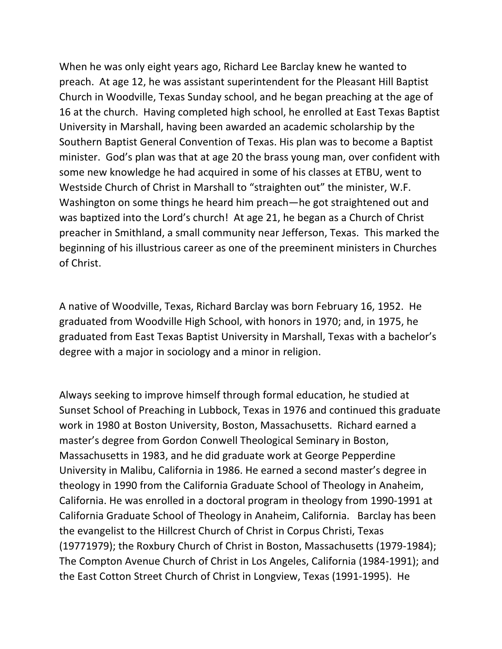When he was only eight years ago, Richard Lee Barclay knew he wanted to preach. At age 12, he was assistant superintendent for the Pleasant Hill Baptist Church in Woodville, Texas Sunday school, and he began preaching at the age of 16 at the church. Having completed high school, he enrolled at East Texas Baptist University in Marshall, having been awarded an academic scholarship by the Southern Baptist General Convention of Texas. His plan was to become a Baptist minister. God's plan was that at age 20 the brass young man, over confident with some new knowledge he had acquired in some of his classes at ETBU, went to Westside Church of Christ in Marshall to "straighten out" the minister, W.F. Washington on some things he heard him preach—he got straightened out and was baptized into the Lord's church! At age 21, he began as a Church of Christ preacher in Smithland, a small community near Jefferson, Texas. This marked the beginning of his illustrious career as one of the preeminent ministers in Churches of Christ.

A native of Woodville, Texas, Richard Barclay was born February 16, 1952. He graduated from Woodville High School, with honors in 1970; and, in 1975, he graduated from East Texas Baptist University in Marshall, Texas with a bachelor's degree with a major in sociology and a minor in religion.

Always seeking to improve himself through formal education, he studied at Sunset School of Preaching in Lubbock, Texas in 1976 and continued this graduate work in 1980 at Boston University, Boston, Massachusetts. Richard earned a master's degree from Gordon Conwell Theological Seminary in Boston, Massachusetts in 1983, and he did graduate work at George Pepperdine University in Malibu, California in 1986. He earned a second master's degree in theology in 1990 from the California Graduate School of Theology in Anaheim, California. He was enrolled in a doctoral program in theology from 1990-1991 at California Graduate School of Theology in Anaheim, California. Barclay has been the evangelist to the Hillcrest Church of Christ in Corpus Christi, Texas (19771979); the Roxbury Church of Christ in Boston, Massachusetts (1979-1984); The Compton Avenue Church of Christ in Los Angeles, California (1984-1991); and the East Cotton Street Church of Christ in Longview, Texas (1991-1995). He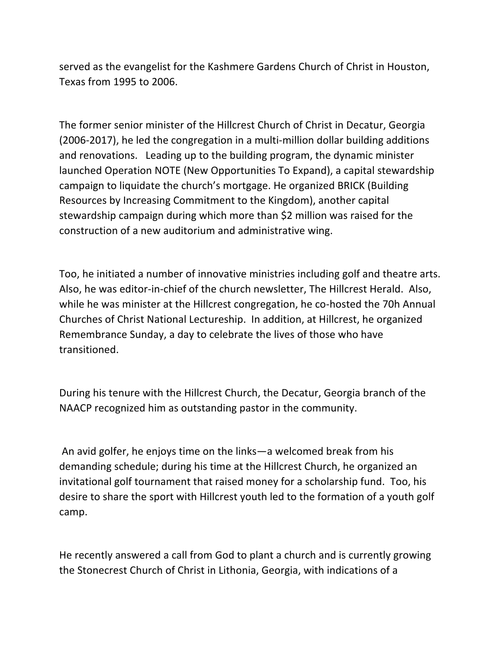served as the evangelist for the Kashmere Gardens Church of Christ in Houston, Texas from 1995 to 2006.

The former senior minister of the Hillcrest Church of Christ in Decatur, Georgia (2006-2017), he led the congregation in a multi-million dollar building additions and renovations. Leading up to the building program, the dynamic minister launched Operation NOTE (New Opportunities To Expand), a capital stewardship campaign to liquidate the church's mortgage. He organized BRICK (Building Resources by Increasing Commitment to the Kingdom), another capital stewardship campaign during which more than \$2 million was raised for the construction of a new auditorium and administrative wing.

Too, he initiated a number of innovative ministries including golf and theatre arts. Also, he was editor-in-chief of the church newsletter, The Hillcrest Herald. Also, while he was minister at the Hillcrest congregation, he co-hosted the 70h Annual Churches of Christ National Lectureship. In addition, at Hillcrest, he organized Remembrance Sunday, a day to celebrate the lives of those who have transitioned.

During his tenure with the Hillcrest Church, the Decatur, Georgia branch of the NAACP recognized him as outstanding pastor in the community.

An avid golfer, he enjoys time on the links—a welcomed break from his demanding schedule; during his time at the Hillcrest Church, he organized an invitational golf tournament that raised money for a scholarship fund. Too, his desire to share the sport with Hillcrest youth led to the formation of a youth golf camp.

He recently answered a call from God to plant a church and is currently growing the Stonecrest Church of Christ in Lithonia, Georgia, with indications of a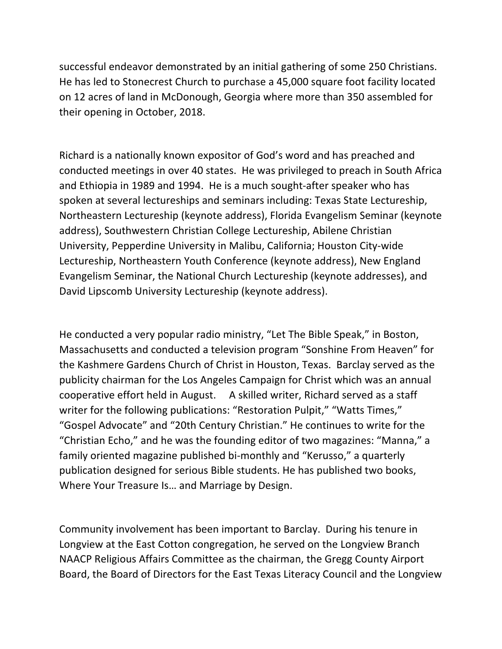successful endeavor demonstrated by an initial gathering of some 250 Christians. He has led to Stonecrest Church to purchase a 45,000 square foot facility located on 12 acres of land in McDonough, Georgia where more than 350 assembled for their opening in October, 2018.

Richard is a nationally known expositor of God's word and has preached and conducted meetings in over 40 states. He was privileged to preach in South Africa and Ethiopia in 1989 and 1994. He is a much sought-after speaker who has spoken at several lectureships and seminars including: Texas State Lectureship, Northeastern Lectureship (keynote address), Florida Evangelism Seminar (keynote address), Southwestern Christian College Lectureship, Abilene Christian University, Pepperdine University in Malibu, California; Houston City-wide Lectureship, Northeastern Youth Conference (keynote address), New England Evangelism Seminar, the National Church Lectureship (keynote addresses), and David Lipscomb University Lectureship (keynote address).

He conducted a very popular radio ministry, "Let The Bible Speak," in Boston, Massachusetts and conducted a television program "Sonshine From Heaven" for the Kashmere Gardens Church of Christ in Houston, Texas. Barclay served as the publicity chairman for the Los Angeles Campaign for Christ which was an annual cooperative effort held in August. A skilled writer, Richard served as a staff writer for the following publications: "Restoration Pulpit," "Watts Times," "Gospel Advocate" and "20th Century Christian." He continues to write for the "Christian Echo," and he was the founding editor of two magazines: "Manna," a family oriented magazine published bi-monthly and "Kerusso," a quarterly publication designed for serious Bible students. He has published two books, Where Your Treasure Is… and Marriage by Design.

Community involvement has been important to Barclay. During his tenure in Longview at the East Cotton congregation, he served on the Longview Branch NAACP Religious Affairs Committee as the chairman, the Gregg County Airport Board, the Board of Directors for the East Texas Literacy Council and the Longview